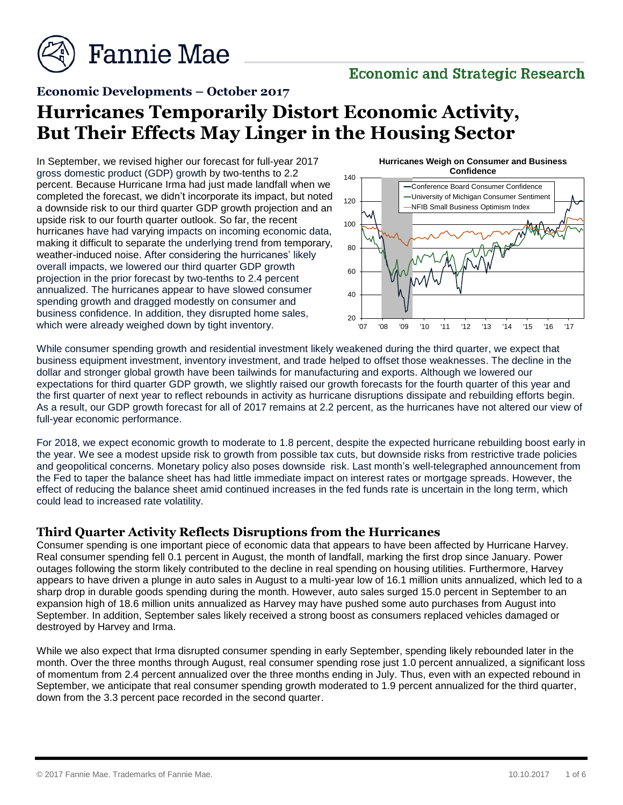

## **Economic and Strategic Research**

### **Economic Developments – October 2017**

# **Hurricanes Temporarily Distort Economic Activity, But Their Effects May Linger in the Housing Sector**

In September, we revised higher our forecast for full-year 2017 gross domestic product (GDP) growth by two-tenths to 2.2 percent. Because Hurricane Irma had just made landfall when we completed the forecast, we didn't incorporate its impact, but noted a downside risk to our third quarter GDP growth projection and an upside risk to our fourth quarter outlook. So far, the recent hurricanes have had varying impacts on incoming economic data, making it difficult to separate the underlying trend from temporary, weather-induced noise. After considering the hurricanes' likely overall impacts, we lowered our third quarter GDP growth projection in the prior forecast by two-tenths to 2.4 percent annualized. The hurricanes appear to have slowed consumer spending growth and dragged modestly on consumer and business confidence. In addition, they disrupted home sales, which were already weighed down by tight inventory.



While consumer spending growth and residential investment likely weakened during the third quarter, we expect that business equipment investment, inventory investment, and trade helped to offset those weaknesses. The decline in the dollar and stronger global growth have been tailwinds for manufacturing and exports. Although we lowered our expectations for third quarter GDP growth, we slightly raised our growth forecasts for the fourth quarter of this year and the first quarter of next year to reflect rebounds in activity as hurricane disruptions dissipate and rebuilding efforts begin. As a result, our GDP growth forecast for all of 2017 remains at 2.2 percent, as the hurricanes have not altered our view of full-year economic performance.

For 2018, we expect economic growth to moderate to 1.8 percent, despite the expected hurricane rebuilding boost early in the year. We see a modest upside risk to growth from possible tax cuts, but downside risks from restrictive trade policies and geopolitical concerns. Monetary policy also poses downside risk. Last month's well-telegraphed announcement from the Fed to taper the balance sheet has had little immediate impact on interest rates or mortgage spreads. However, the effect of reducing the balance sheet amid continued increases in the fed funds rate is uncertain in the long term, which could lead to increased rate volatility.

#### **Third Quarter Activity Reflects Disruptions from the Hurricanes**

Consumer spending is one important piece of economic data that appears to have been affected by Hurricane Harvey. Real consumer spending fell 0.1 percent in August, the month of landfall, marking the first drop since January. Power outages following the storm likely contributed to the decline in real spending on housing utilities. Furthermore, Harvey appears to have driven a plunge in auto sales in August to a multi-year low of 16.1 million units annualized, which led to a sharp drop in durable goods spending during the month. However, auto sales surged 15.0 percent in September to an expansion high of 18.6 million units annualized as Harvey may have pushed some auto purchases from August into September. In addition, September sales likely received a strong boost as consumers replaced vehicles damaged or destroyed by Harvey and Irma.

While we also expect that Irma disrupted consumer spending in early September, spending likely rebounded later in the month. Over the three months through August, real consumer spending rose just 1.0 percent annualized, a significant loss of momentum from 2.4 percent annualized over the three months ending in July. Thus, even with an expected rebound in September, we anticipate that real consumer spending growth moderated to 1.9 percent annualized for the third quarter, down from the 3.3 percent pace recorded in the second quarter.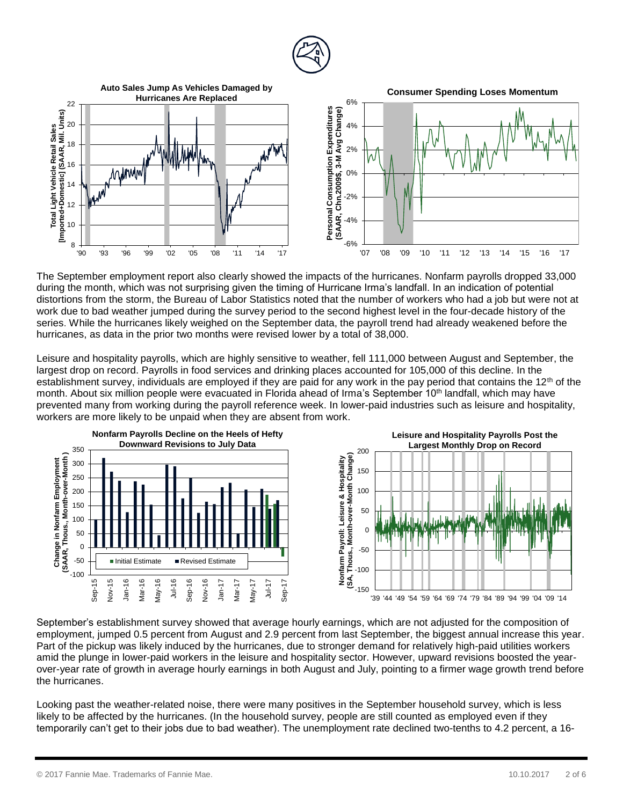

The September employment report also clearly showed the impacts of the hurricanes. Nonfarm payrolls dropped 33,000 during the month, which was not surprising given the timing of Hurricane Irma's landfall. In an indication of potential distortions from the storm, the Bureau of Labor Statistics noted that the number of workers who had a job but were not at work due to bad weather jumped during the survey period to the second highest level in the four-decade history of the series. While the hurricanes likely weighed on the September data, the payroll trend had already weakened before the hurricanes, as data in the prior two months were revised lower by a total of 38,000.

Leisure and hospitality payrolls, which are highly sensitive to weather, fell 111,000 between August and September, the largest drop on record. Payrolls in food services and drinking places accounted for 105,000 of this decline. In the establishment survey, individuals are employed if they are paid for any work in the pay period that contains the  $12<sup>th</sup>$  of the month. About six million people were evacuated in Florida ahead of Irma's September 10<sup>th</sup> landfall, which may have prevented many from working during the payroll reference week. In lower-paid industries such as leisure and hospitality, workers are more likely to be unpaid when they are absent from work.



September's establishment survey showed that average hourly earnings, which are not adjusted for the composition of employment, jumped 0.5 percent from August and 2.9 percent from last September, the biggest annual increase this year. Part of the pickup was likely induced by the hurricanes, due to stronger demand for relatively high-paid utilities workers amid the plunge in lower-paid workers in the leisure and hospitality sector. However, upward revisions boosted the yearover-year rate of growth in average hourly earnings in both August and July, pointing to a firmer wage growth trend before the hurricanes.

Looking past the weather-related noise, there were many positives in the September household survey, which is less likely to be affected by the hurricanes. (In the household survey, people are still counted as employed even if they temporarily can't get to their jobs due to bad weather). The unemployment rate declined two-tenths to 4.2 percent, a 16-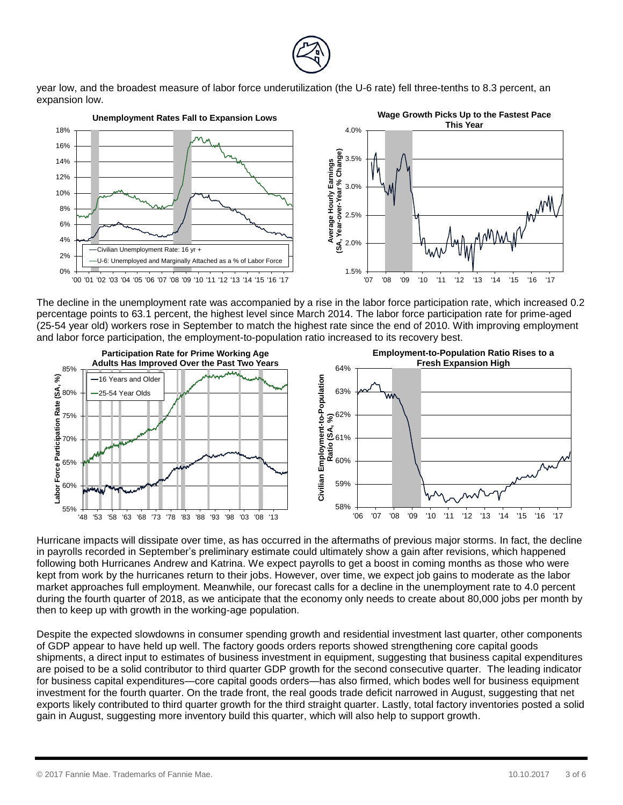

year low, and the broadest measure of labor force underutilization (the U-6 rate) fell three-tenths to 8.3 percent, an expansion low.



The decline in the unemployment rate was accompanied by a rise in the labor force participation rate, which increased 0.2 percentage points to 63.1 percent, the highest level since March 2014. The labor force participation rate for prime-aged (25-54 year old) workers rose in September to match the highest rate since the end of 2010. With improving employment and labor force participation, the employment-to-population ratio increased to its recovery best.



Hurricane impacts will dissipate over time, as has occurred in the aftermaths of previous major storms. In fact, the decline in payrolls recorded in September's preliminary estimate could ultimately show a gain after revisions, which happened following both Hurricanes Andrew and Katrina. We expect payrolls to get a boost in coming months as those who were kept from work by the hurricanes return to their jobs. However, over time, we expect job gains to moderate as the labor market approaches full employment. Meanwhile, our forecast calls for a decline in the unemployment rate to 4.0 percent during the fourth quarter of 2018, as we anticipate that the economy only needs to create about 80,000 jobs per month by then to keep up with growth in the working-age population.

Despite the expected slowdowns in consumer spending growth and residential investment last quarter, other components of GDP appear to have held up well. The factory goods orders reports showed strengthening core capital goods shipments, a direct input to estimates of business investment in equipment, suggesting that business capital expenditures are poised to be a solid contributor to third quarter GDP growth for the second consecutive quarter. The leading indicator for business capital expenditures—core capital goods orders—has also firmed, which bodes well for business equipment investment for the fourth quarter. On the trade front, the real goods trade deficit narrowed in August, suggesting that net exports likely contributed to third quarter growth for the third straight quarter. Lastly, total factory inventories posted a solid gain in August, suggesting more inventory build this quarter, which will also help to support growth.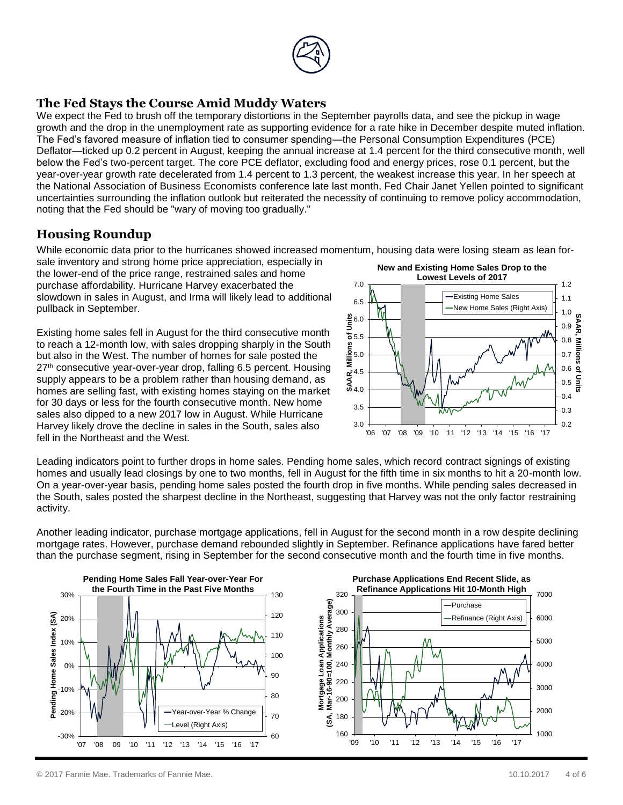

## **The Fed Stays the Course Amid Muddy Waters**

We expect the Fed to brush off the temporary distortions in the September payrolls data, and see the pickup in wage growth and the drop in the unemployment rate as supporting evidence for a rate hike in December despite muted inflation. The Fed's favored measure of inflation tied to consumer spending—the Personal Consumption Expenditures (PCE) Deflator—ticked up 0.2 percent in August, keeping the annual increase at 1.4 percent for the third consecutive month, well below the Fed's two-percent target. The core PCE deflator, excluding food and energy prices, rose 0.1 percent, but the year-over-year growth rate decelerated from 1.4 percent to 1.3 percent, the weakest increase this year. In her speech at the National Association of Business Economists conference late last month, Fed Chair Janet Yellen pointed to significant uncertainties surrounding the inflation outlook but reiterated the necessity of continuing to remove policy accommodation, noting that the Fed should be "wary of moving too gradually."

## **Housing Roundup**

While economic data prior to the hurricanes showed increased momentum, housing data were losing steam as lean for-

sale inventory and strong home price appreciation, especially in the lower-end of the price range, restrained sales and home purchase affordability. Hurricane Harvey exacerbated the slowdown in sales in August, and Irma will likely lead to additional pullback in September.

Existing home sales fell in August for the third consecutive month to reach a 12-month low, with sales dropping sharply in the South but also in the West. The number of homes for sale posted the 27<sup>th</sup> consecutive year-over-year drop, falling 6.5 percent. Housing supply appears to be a problem rather than housing demand, as homes are selling fast, with existing homes staying on the market for 30 days or less for the fourth consecutive month. New home sales also dipped to a new 2017 low in August. While Hurricane Harvey likely drove the decline in sales in the South, sales also fell in the Northeast and the West.



Leading indicators point to further drops in home sales. Pending home sales, which record contract signings of existing homes and usually lead closings by one to two months, fell in August for the fifth time in six months to hit a 20-month low. On a year-over-year basis, pending home sales posted the fourth drop in five months. While pending sales decreased in the South, sales posted the sharpest decline in the Northeast, suggesting that Harvey was not the only factor restraining activity.

Another leading indicator, purchase mortgage applications, fell in August for the second month in a row despite declining mortgage rates. However, purchase demand rebounded slightly in September. Refinance applications have fared better than the purchase segment, rising in September for the second consecutive month and the fourth time in five months.

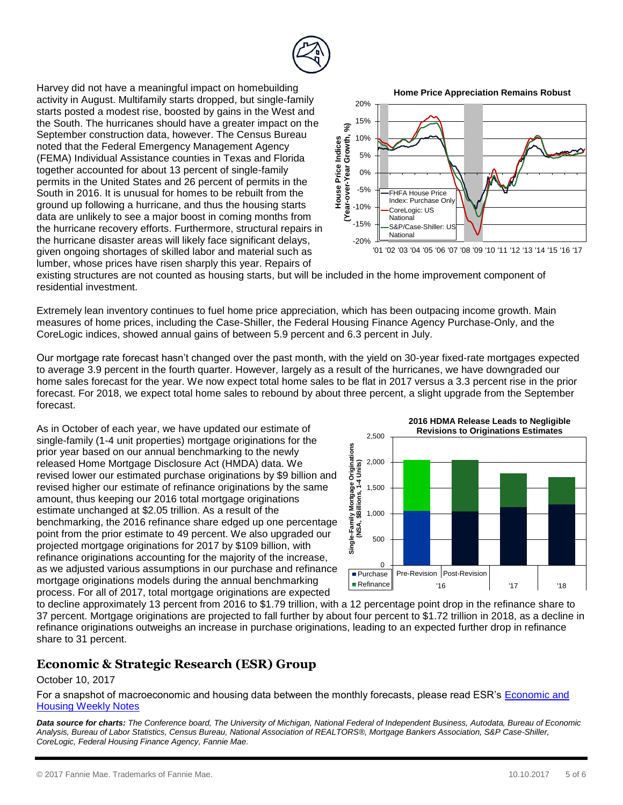

Harvey did not have a meaningful impact on homebuilding activity in August. Multifamily starts dropped, but single-family starts posted a modest rise, boosted by gains in the West and the South. The hurricanes should have a greater impact on the September construction data, however. The Census Bureau noted that the Federal Emergency Management Agency (FEMA) Individual Assistance counties in Texas and Florida together accounted for about 13 percent of single-family permits in the United States and 26 percent of permits in the South in 2016. It is unusual for homes to be rebuilt from the ground up following a hurricane, and thus the housing starts data are unlikely to see a major boost in coming months from the hurricane recovery efforts. Furthermore, structural repairs in the hurricane disaster areas will likely face significant delays, given ongoing shortages of skilled labor and material such as lumber, whose prices have risen sharply this year. Repairs of



existing structures are not counted as housing starts, but will be included in the home improvement component of residential investment.

Extremely lean inventory continues to fuel home price appreciation, which has been outpacing income growth. Main measures of home prices, including the Case-Shiller, the Federal Housing Finance Agency Purchase-Only, and the CoreLogic indices, showed annual gains of between 5.9 percent and 6.3 percent in July.

Our mortgage rate forecast hasn't changed over the past month, with the yield on 30-year fixed-rate mortgages expected to average 3.9 percent in the fourth quarter. However, largely as a result of the hurricanes, we have downgraded our home sales forecast for the year. We now expect total home sales to be flat in 2017 versus a 3.3 percent rise in the prior forecast. For 2018, we expect total home sales to rebound by about three percent, a slight upgrade from the September forecast.

As in October of each year, we have updated our estimate of single-family (1-4 unit properties) mortgage originations for the prior year based on our annual benchmarking to the newly released Home Mortgage Disclosure Act (HMDA) data. We revised lower our estimated purchase originations by \$9 billion and revised higher our estimate of refinance originations by the same amount, thus keeping our 2016 total mortgage originations estimate unchanged at \$2.05 trillion. As a result of the benchmarking, the 2016 refinance share edged up one percentage point from the prior estimate to 49 percent. We also upgraded our projected mortgage originations for 2017 by \$109 billion, with refinance originations accounting for the majority of the increase, as we adjusted various assumptions in our purchase and refinance mortgage originations models during the annual benchmarking process. For all of 2017, total mortgage originations are expected



**2016 HDMA Release Leads to Negligible Revisions to Originations Estimates**

to decline approximately 13 percent from 2016 to \$1.79 trillion, with a 12 percentage point drop in the refinance share to 37 percent. Mortgage originations are projected to fall further by about four percent to \$1.72 trillion in 2018, as a decline in refinance originations outweighs an increase in purchase originations, leading to an expected further drop in refinance share to 31 percent.

## **Economic & Strategic Research (ESR) Group**

#### October 10, 2017

For a snapshot of macroeconomic and housing data between the monthly forecasts, please read ESR's [Economic and](http://fanniemae.com/portal/research-insights/forecast/weekly-archive.html)  [Housing Weekly Notes](http://fanniemae.com/portal/research-insights/forecast/weekly-archive.html)

*Data source for charts: The Conference board, The University of Michigan, National Federal of Independent Business, Autodata, Bureau of Economic Analysis, Bureau of Labor Statistics, Census Bureau, National Association of REALTORS®, Mortgage Bankers Association, S&P Case-Shiller, CoreLogic, Federal Housing Finance Agency, Fannie Mae.*